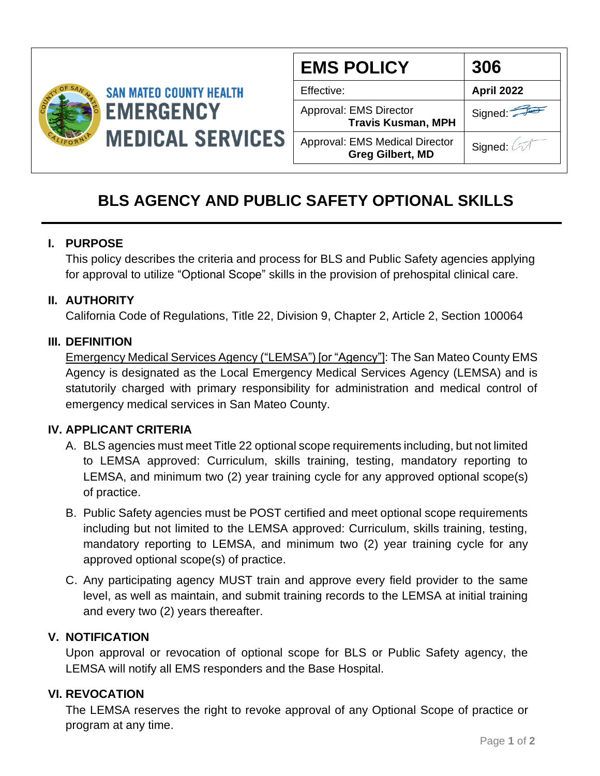

| <b>EMS POLICY</b>                                         | 306               |
|-----------------------------------------------------------|-------------------|
| Effective:                                                | <b>April 2022</b> |
| Approval: EMS Director<br><b>Travis Kusman, MPH</b>       | Signed:           |
| Approval: EMS Medical Director<br><b>Greg Gilbert, MD</b> | Signed:           |

# **BLS AGENCY AND PUBLIC SAFETY OPTIONAL SKILLS**

### **I. PURPOSE**

This policy describes the criteria and process for BLS and Public Safety agencies applying for approval to utilize "Optional Scope" skills in the provision of prehospital clinical care.

### **II. AUTHORITY**

California Code of Regulations, Title 22, Division 9, Chapter 2, Article 2, Section 100064

### **III. DEFINITION**

Emergency Medical Services Agency ("LEMSA") [or "Agency"]: The San Mateo County EMS Agency is designated as the Local Emergency Medical Services Agency (LEMSA) and is statutorily charged with primary responsibility for administration and medical control of emergency medical services in San Mateo County.

# **IV. APPLICANT CRITERIA**

- A. BLS agencies must meet Title 22 optional scope requirements including, but not limited to LEMSA approved: Curriculum, skills training, testing, mandatory reporting to LEMSA, and minimum two (2) year training cycle for any approved optional scope(s) of practice.
- B. Public Safety agencies must be POST certified and meet optional scope requirements including but not limited to the LEMSA approved: Curriculum, skills training, testing, mandatory reporting to LEMSA, and minimum two (2) year training cycle for any approved optional scope(s) of practice.
- C. Any participating agency MUST train and approve every field provider to the same level, as well as maintain, and submit training records to the LEMSA at initial training and every two (2) years thereafter.

# **V. NOTIFICATION**

Upon approval or revocation of optional scope for BLS or Public Safety agency, the LEMSA will notify all EMS responders and the Base Hospital.

# **VI. REVOCATION**

The LEMSA reserves the right to revoke approval of any Optional Scope of practice or program at any time.